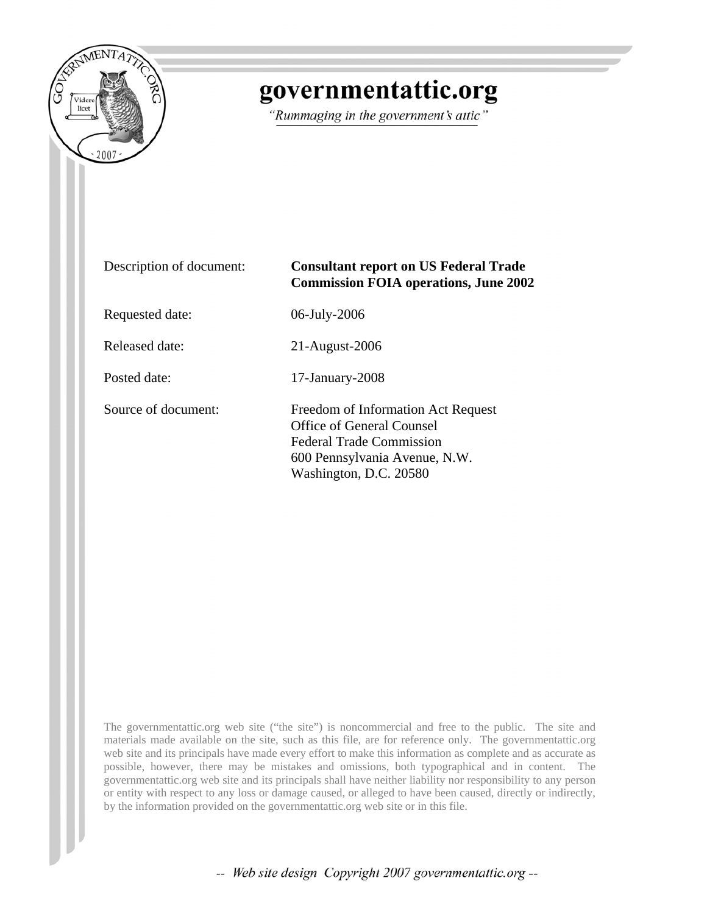

# governmentattic.org

"Rummaging in the government's attic"

| Description of document: | <b>Consultant report on US Federal Trade</b><br><b>Commission FOIA operations, June 2002</b>                                                                         |
|--------------------------|----------------------------------------------------------------------------------------------------------------------------------------------------------------------|
| Requested date:          | 06-July-2006                                                                                                                                                         |
| Released date:           | 21-August-2006                                                                                                                                                       |
| Posted date:             | 17-January-2008                                                                                                                                                      |
| Source of document:      | Freedom of Information Act Request<br><b>Office of General Counsel</b><br><b>Federal Trade Commission</b><br>600 Pennsylvania Avenue, N.W.<br>Washington, D.C. 20580 |

The governmentattic.org web site ("the site") is noncommercial and free to the public. The site and materials made available on the site, such as this file, are for reference only. The governmentattic.org web site and its principals have made every effort to make this information as complete and as accurate as possible, however, there may be mistakes and omissions, both typographical and in content. The governmentattic.org web site and its principals shall have neither liability nor responsibility to any person or entity with respect to any loss or damage caused, or alleged to have been caused, directly or indirectly, by the information provided on the governmentattic.org web site or in this file.

-- Web site design Copyright 2007 governmentattic.org --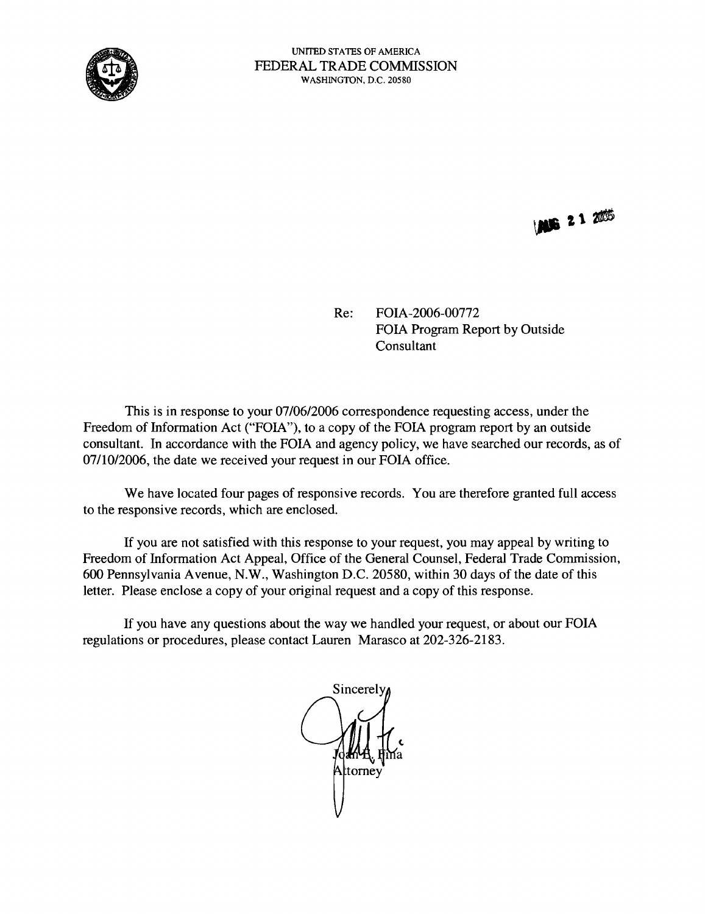

**MG 21 2006** 

Re: FOIA-2006-00772 FOIA Program Report by Outside Consultant

This is in response to your 07/06/2006 correspondence requesting access, under the Freedom of Information Act ("FOIA"), to a copy of the FOIA program report by an outside consultant. In accordance with the FOIA and agency policy, we have searched our records, as of 07/10/2006, the date we received your request in our FOIA office.

We have located four pages of responsive records. You are therefore granted full access to the responsive records, which are enclosed.

If you are not satisfied with this response to your request, you may appeal by writing to Freedom of Information Act Appeal, Office of the General Counsel, Federal Trade Commission, 600 Pennsylvania Avenue, N.W., Washington D.C. 20580, within 30 days of the date of this letter. Please enclose a copy of your original request and a copy of this response.

If you have any questions about the way we handled your request, or about our FOIA regulations or procedures, please contact Lauren Marasco at 202-326-2183.

Sincerely tornev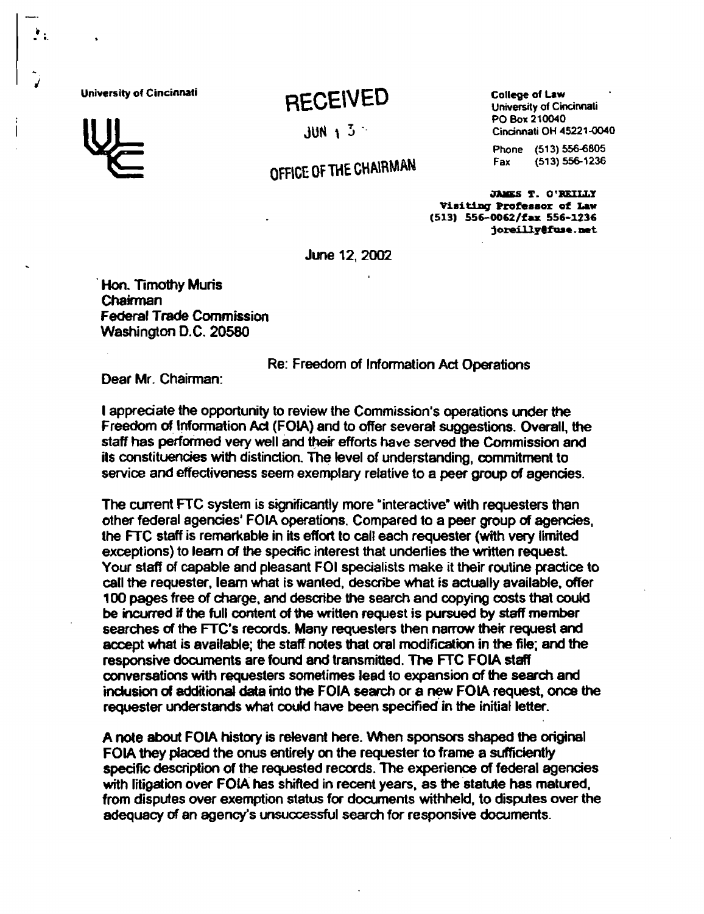## University of Cincinnati **RECEIVED** College of Law College of Law **College College** of Cincinnati

OFFICE OF THE CHAIRMAN

PO Box 210040  $JUN \quad 1 \quad 3$   $Cincinnati OH 45221-0040$ 

Phone (513) 556-6805

JAMES T. O'REILLY Visiting Professor of Law (513) 556-0062/fax 556-1236 joreillv@fuse.net

June 12, 2002

.Han. Timothy Muris Chairman Federal Trade Commission Washington D.C. 20580

Re: Freedom of Information Ad Operations

Dear Mr. Chairman:

I appreciate the opportunity to review the Commission's operations under the Freedom of Information Ad (FOIA) and to offer several suggestions. Overall, the staff has performed very well and their efforts have served the Commission and its constituencies with distindion. The level of understanding, commitment to service and effectiveness seem exemplary relative to a peer group of agencies.

The current FTC system is significantly more "interactive" with requesters than other federal agencies' FOIA operations. Compared to a peer group of agencies, the FTC staff is remarkable in its effort to call each requester (with very limited exceptions) to learn of the specific interest that underlies the written request. Your staff of capable and pleasant FOI specialists make it their routine practice to call the requester, leam what is wanted, describe what is actually available, offer 100 pages free of charge, and describe the search and copying costs that could be incurred if the full content of the written request is pursued by staff member searches of the FTC's records. Many requesters then narrow their request and accept what is avaifable; the staff notes that oral modification in the file; and the responsive documents are found and transmitted. The FTC FOIA staff conversations with requesters sometimes lead to expansion of the search and inclusion of additional data into the FOIA search or a new FOIA request, once the requester understands what could have been specified in the initial letter.

A note about FOIA history is relevant here. When sponsors shaped the original FOIA they placed the onus entirely on the requester to frame a sufficiently specific description of the requested records. The experience of federal agencies with litigation over FOIA has shifted in recent years, as the statute has matured. from disputes over exemption status for documents withheld, to disputes over the adequacy of an agency's unsuccessful search for responsive documents.



. ....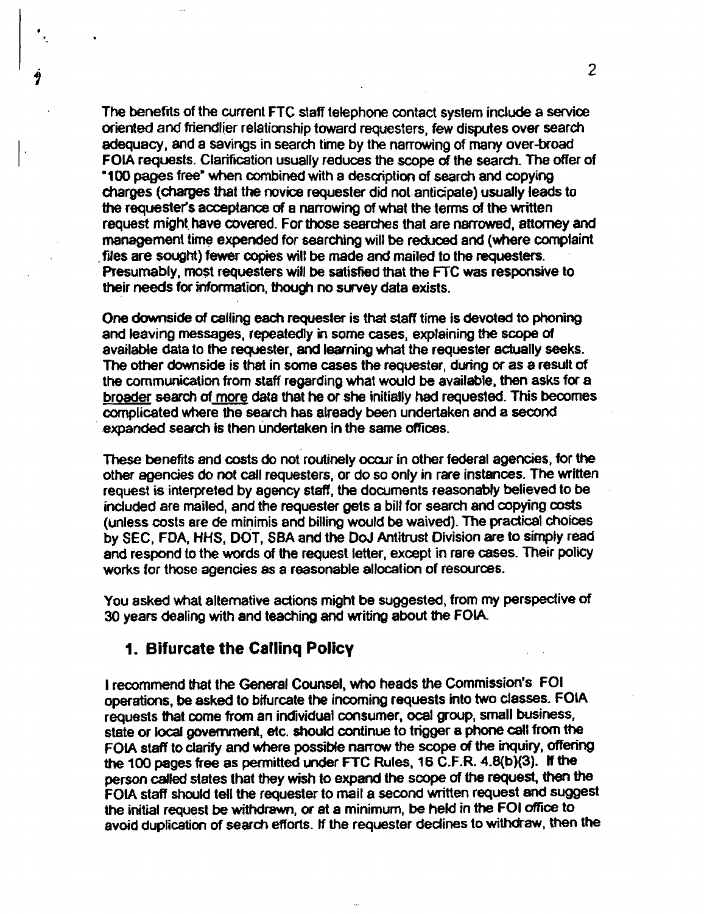The benefits of the current FTC staff telephone contact system include a service oriented and friendlier relationship toward requesters, few disputes over search adequacy, and a savings in search time by the narrowing of many over-broad FOIA requests. Clarification usually reduces the scope of the search. The offer of ·100 pages free- when combined with a description of search and copying charges (charges that the novice requester did notanticipate) usually leads to the requester's acceptance of a narrowing of what the terms of the written request might. have covered. For those searches that are narrowed, attorney and management time expended for searching will be reduced and (where complaint files are sought) fewer copies will be made and mailed to the requesters. Presumably, most requesters will be satisfied that the FTC was responsive to their needs for information, though no survey data exists.

One downside of calling each requester is that staff time is devoted to phoning and leaving messages, repeatedly in some cases, explaining the scope of available data to the requester, and learning what the requester actually seeks. The other downside is that in some cases the requester, during or as a result of the communication from staff regarding what would be available, then asks for a broader search of more data that he or she initially had requested. This becomes complicated where the search has already been undertaken and 8 second expanded search is then undertaken in the same offices.

These benefits and costs do not routinely occur in other federal agencies, for the other agencies do not call requesters, or do so only in rare instances. The written request is interpreted by agency staff, the documents reasonably believed to be included are mailed, and the requester gets a bill for search and copying costs (unless costs are de minimis and billing would be waived). The pradical choices by SEC, FDA, HHS. DOT. SBA and the DoJ Antitrust Division are to simply read and respond to the words of the request letter, except in rare cases. Their poliCy works for those agencies as a reasonable allocation of resources.

You asked what alternative actions might be suggested, from my perspective of 30 years dealing with and teaching and writing about the FOIA

#### 1. Bifurcate the Callinq Policy

I recommend that the General Counsel. who heads the Commission"s FOI operations. be asked to bifurcate the incoming requests into two classes. FOIA requests that come from an individual consumer, ocal group, small business, state or local government, etc. should continue to trigger a phone call from the FOIA staff to clarify and where possibfe narrow the scope of the inquiry. offering the 100 pages free as permitted under FTC Rules. 16 C.F.R. 4.8(b)(3). If the person called states that they wish to expand the scope of the request, then the FOIA staff should tell the requester to mail a second written request and suggest the initial request be withdrawn, or at a minimum, be held in the FOI office to avoid duplication of search efforts. If the requester declines to withdraw, then the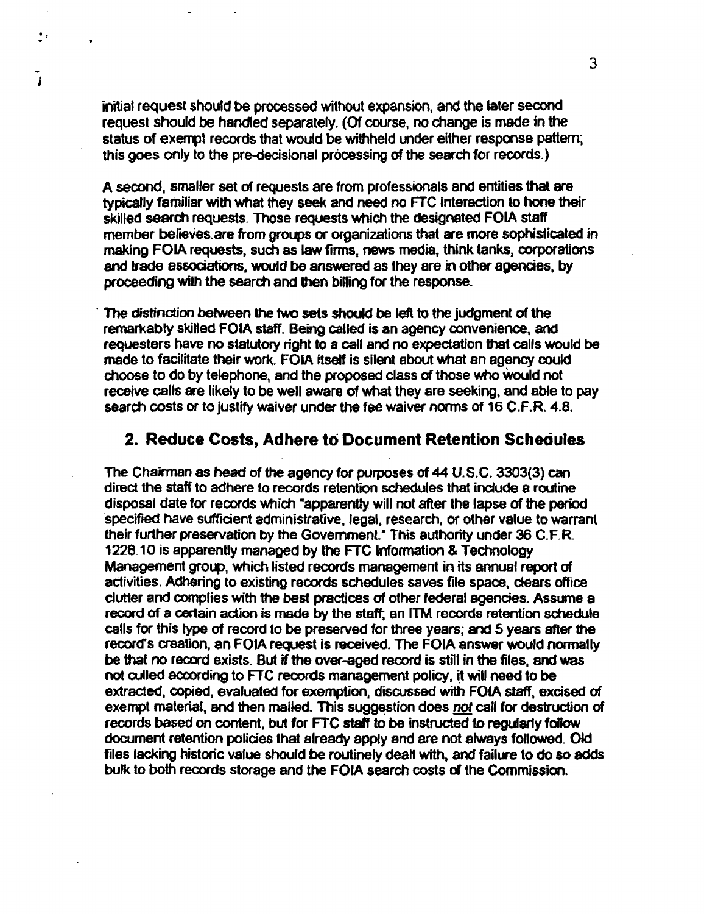initial request should be processed without expansion, and the later seoond request should be handled separately. (Of course, no change is made in the status of exempt records that would be withheld under either response pattern; this goes only to the pre-decisional processing of the search for records.)

 $\mathbf{P}$ 

 $\mathbf{I}$ 

A second, smaller set of requests are from professionals and entities that are typicalJy familiar with what they seek and need no FTC interaction to hone their skilled search requests. Those requests which the designated FOIA staff member befieves.are'from groups or organizations that are more sophisticated in making FOJA requests, such as law firms, news media. think tanks. corporations and trade associations, would be answered as they are in other agencies, by proceeding with the search and then billing for the response.

. The distinction between the two sets should be left to the judgment of the remarkably skilled FOIA staff. Being called is an agency convenience, and requesters have no statutory right to 8 call and no expectation that calls would be made to facilitate their work. FOIA itself is silent about what an agency could choose to do by telephone, and the proposed class of those who Would not receive calls are likely to be well aware of what they are seeking, and able to pay search costs or to justify waiver under the fee waiver norms of 16 C.F.R. 4.8.

#### 2. Reduce Costs, Adhere to Document Retention Schequies

The Chairman as head of the agency for purposes of 44 U.S.C. 3303(3) can direct the staff to adhere to records retention schedules that incfude a routine disposal date for records Which -apparently will not after the lapse of the period 'specifted have sufficient administrative, legal. research, or other value to warrant their further preservation by the Government: This authority under 36 C.ER. 1228.10 is apparently managed by the FTC Information & Technology Management group, which listed records management in its annual report of activities. Adhering to existing records schedules saves file space, clesrs office clutter and complies with the best practices of other federal agencies. Assume a record of a certain action is made by the staff; an ITM records retention schedule calls for this type of record to be preserved for three years; and 5 years after the record's creation. an FOIA request is received. The FOlA answer would normally be that no record exists. But if the over-aged record is still in the files, and was not culled according to FTC records management policy, it will need to be extracted, copied, evaluated for exemption. discussed with FOIA staff, excised of exempt material, and then mailed. This suggestion does not call for destruction of records based on content, but for FTC staff to be instructed to regularly follow document retention policies that already apply and are not always followed. Old files lacking historic value should be routinely dealt with, and failure to do so adds bufk to both records storage and the FOIA search costs of the Commission.

3